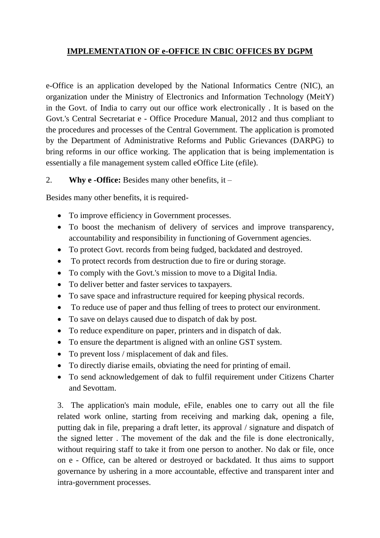## **IMPLEMENTATION OF e-OFFICE IN CBIC OFFICES BY DGPM**

e-Office is an application developed by the National Informatics Centre (NIC), an organization under the Ministry of Electronics and Information Technology (MeitY) in the Govt. of India to carry out our office work electronically . It is based on the Govt.'s Central Secretariat e - Office Procedure Manual, 2012 and thus compliant to the procedures and processes of the Central Government. The application is promoted by the Department of Administrative Reforms and Public Grievances (DARPG) to bring reforms in our office working. The application that is being implementation is essentially a file management system called eOffice Lite (efile).

## 2. **Why e -Office:** Besides many other benefits, it –

Besides many other benefits, it is required-

- To improve efficiency in Government processes.
- To boost the mechanism of delivery of services and improve transparency, accountability and responsibility in functioning of Government agencies.
- To protect Govt. records from being fudged, backdated and destroyed.
- To protect records from destruction due to fire or during storage.
- To comply with the Govt.'s mission to move to a Digital India.
- To deliver better and faster services to taxpayers.
- To save space and infrastructure required for keeping physical records.
- To reduce use of paper and thus felling of trees to protect our environment.
- To save on delays caused due to dispatch of dak by post.
- To reduce expenditure on paper, printers and in dispatch of dak.
- To ensure the department is aligned with an online GST system.
- To prevent loss / misplacement of dak and files.
- To directly diarise emails, obviating the need for printing of email.
- To send acknowledgement of dak to fulfil requirement under Citizens Charter and Sevottam.

3. The application's main module, eFile, enables one to carry out all the file related work online, starting from receiving and marking dak, opening a file, putting dak in file, preparing a draft letter, its approval / signature and dispatch of the signed letter . The movement of the dak and the file is done electronically, without requiring staff to take it from one person to another. No dak or file, once on e - Office, can be altered or destroyed or backdated. It thus aims to support governance by ushering in a more accountable, effective and transparent inter and intra-government processes.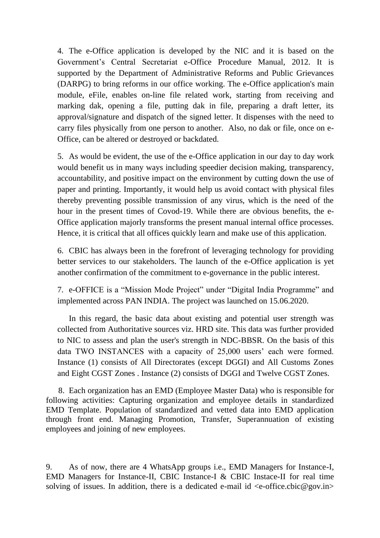4. The e-Office application is developed by the NIC and it is based on the Government's Central Secretariat e-Office Procedure Manual, 2012. It is supported by the Department of Administrative Reforms and Public Grievances (DARPG) to bring reforms in our office working. The e-Office application's main module, eFile, enables on-line file related work, starting from receiving and marking dak, opening a file, putting dak in file, preparing a draft letter, its approval/signature and dispatch of the signed letter. It dispenses with the need to carry files physically from one person to another. Also, no dak or file, once on e-Office, can be altered or destroyed or backdated.

5. As would be evident, the use of the e-Office application in our day to day work would benefit us in many ways including speedier decision making, transparency, accountability, and positive impact on the environment by cutting down the use of paper and printing. Importantly, it would help us avoid contact with physical files thereby preventing possible transmission of any virus, which is the need of the hour in the present times of Covod-19. While there are obvious benefits, the e-Office application majorly transforms the present manual internal office processes. Hence, it is critical that all offices quickly learn and make use of this application.

6. CBIC has always been in the forefront of leveraging technology for providing better services to our stakeholders. The launch of the e-Office application is yet another confirmation of the commitment to e-governance in the public interest.

7. e-OFFICE is a "Mission Mode Project" under "Digital India Programme" and implemented across PAN INDIA. The project was launched on 15.06.2020.

In this regard, the basic data about existing and potential user strength was collected from Authoritative sources viz. HRD site. This data was further provided to NIC to assess and plan the user's strength in NDC-BBSR. On the basis of this data TWO INSTANCES with a capacity of 25,000 users' each were formed. Instance (1) consists of All Directorates (except DGGI) and All Customs Zones and Eight CGST Zones . Instance (2) consists of DGGI and Twelve CGST Zones.

 8. Each organization has an EMD (Employee Master Data) who is responsible for following activities: Capturing organization and employee details in standardized EMD Template. Population of standardized and vetted data into EMD application through front end. Managing Promotion, Transfer, Superannuation of existing employees and joining of new employees.

9. As of now, there are 4 WhatsApp groups i.e., EMD Managers for Instance-I, EMD Managers for Instance-II, CBIC Instance-I & CBIC Instace-II for real time solving of issues. In addition, there is a dedicated e-mail id  $\langle e\text{-office.cbic@gov.in}\rangle$